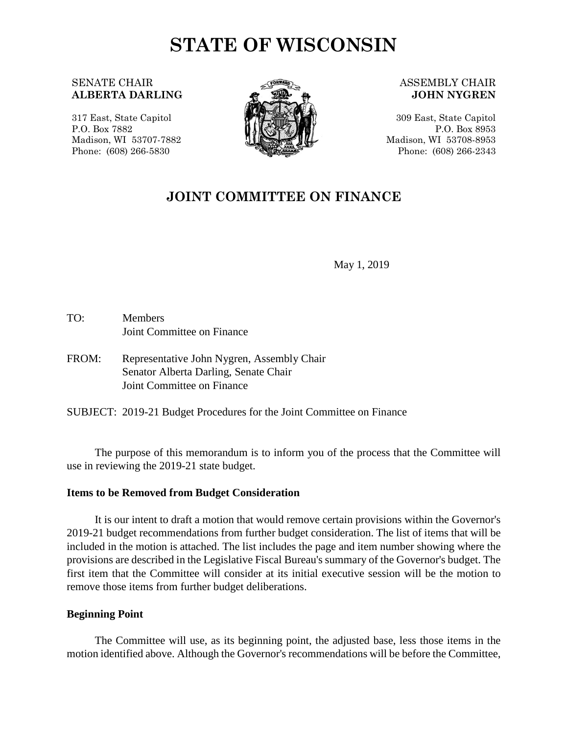# **STATE OF WISCONSIN**

# SENATE CHAIR **ALBERTA DARLING**

317 East, State Capitol P.O. Box 7882 Madison, WI 53707-7882 Phone: (608) 266-5830



#### ASSEMBLY CHAIR **JOHN NYGREN**

309 East, State Capitol P.O. Box 8953 Madison, WI 53708-8953 Phone: (608) 266-2343

# **JOINT COMMITTEE ON FINANCE**

May 1, 2019

- TO: Members Joint Committee on Finance
- FROM: Representative John Nygren, Assembly Chair Senator Alberta Darling, Senate Chair Joint Committee on Finance

SUBJECT: 2019-21 Budget Procedures for the Joint Committee on Finance

The purpose of this memorandum is to inform you of the process that the Committee will use in reviewing the 2019-21 state budget.

#### **Items to be Removed from Budget Consideration**

It is our intent to draft a motion that would remove certain provisions within the Governor's 2019-21 budget recommendations from further budget consideration. The list of items that will be included in the motion is attached. The list includes the page and item number showing where the provisions are described in the Legislative Fiscal Bureau's summary of the Governor's budget. The first item that the Committee will consider at its initial executive session will be the motion to remove those items from further budget deliberations.

#### **Beginning Point**

The Committee will use, as its beginning point, the adjusted base, less those items in the motion identified above. Although the Governor's recommendations will be before the Committee,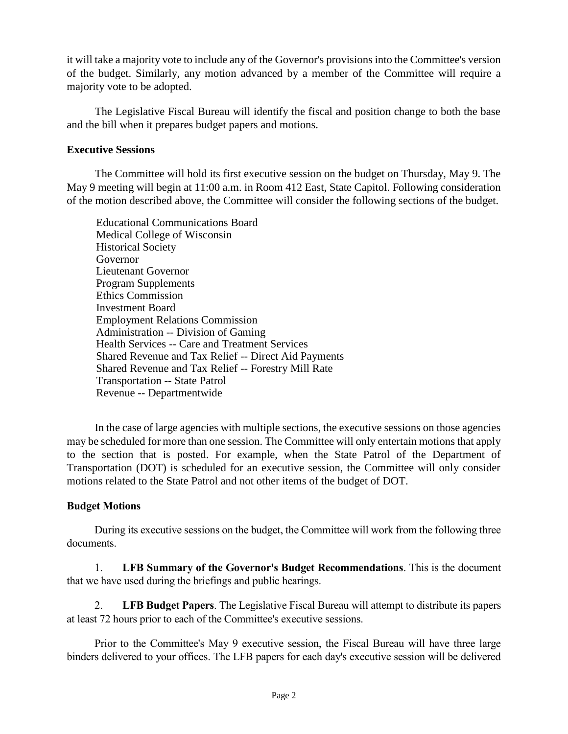it will take a majority vote to include any of the Governor's provisions into the Committee's version of the budget. Similarly, any motion advanced by a member of the Committee will require a majority vote to be adopted.

The Legislative Fiscal Bureau will identify the fiscal and position change to both the base and the bill when it prepares budget papers and motions.

# **Executive Sessions**

The Committee will hold its first executive session on the budget on Thursday, May 9. The May 9 meeting will begin at 11:00 a.m. in Room 412 East, State Capitol. Following consideration of the motion described above, the Committee will consider the following sections of the budget.

Educational Communications Board Medical College of Wisconsin Historical Society Governor Lieutenant Governor Program Supplements Ethics Commission Investment Board Employment Relations Commission Administration -- Division of Gaming Health Services -- Care and Treatment Services Shared Revenue and Tax Relief -- Direct Aid Payments Shared Revenue and Tax Relief -- Forestry Mill Rate Transportation -- State Patrol Revenue -- Departmentwide

In the case of large agencies with multiple sections, the executive sessions on those agencies may be scheduled for more than one session. The Committee will only entertain motions that apply to the section that is posted. For example, when the State Patrol of the Department of Transportation (DOT) is scheduled for an executive session, the Committee will only consider motions related to the State Patrol and not other items of the budget of DOT.

# **Budget Motions**

During its executive sessions on the budget, the Committee will work from the following three documents.

1. **LFB Summary of the Governor's Budget Recommendations**. This is the document that we have used during the briefings and public hearings.

2. **LFB Budget Papers**. The Legislative Fiscal Bureau will attempt to distribute its papers at least 72 hours prior to each of the Committee's executive sessions.

Prior to the Committee's May 9 executive session, the Fiscal Bureau will have three large binders delivered to your offices. The LFB papers for each day's executive session will be delivered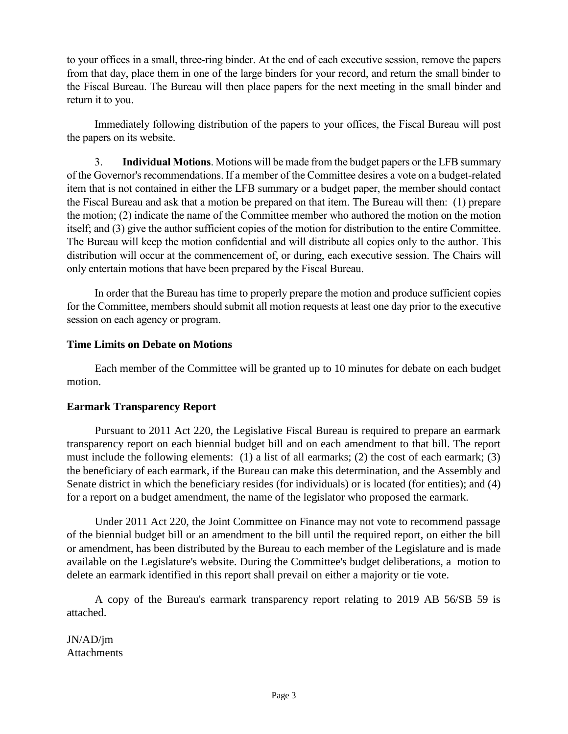to your offices in a small, three-ring binder. At the end of each executive session, remove the papers from that day, place them in one of the large binders for your record, and return the small binder to the Fiscal Bureau. The Bureau will then place papers for the next meeting in the small binder and return it to you.

Immediately following distribution of the papers to your offices, the Fiscal Bureau will post the papers on its website.

3. **Individual Motions**. Motions will be made from the budget papers or the LFB summary of the Governor's recommendations. If a member of the Committee desires a vote on a budget-related item that is not contained in either the LFB summary or a budget paper, the member should contact the Fiscal Bureau and ask that a motion be prepared on that item. The Bureau will then: (1) prepare the motion; (2) indicate the name of the Committee member who authored the motion on the motion itself; and (3) give the author sufficient copies of the motion for distribution to the entire Committee. The Bureau will keep the motion confidential and will distribute all copies only to the author. This distribution will occur at the commencement of, or during, each executive session. The Chairs will only entertain motions that have been prepared by the Fiscal Bureau.

In order that the Bureau has time to properly prepare the motion and produce sufficient copies for the Committee, members should submit all motion requests at least one day prior to the executive session on each agency or program.

# **Time Limits on Debate on Motions**

Each member of the Committee will be granted up to 10 minutes for debate on each budget motion.

# **Earmark Transparency Report**

Pursuant to 2011 Act 220, the Legislative Fiscal Bureau is required to prepare an earmark transparency report on each biennial budget bill and on each amendment to that bill. The report must include the following elements: (1) a list of all earmarks; (2) the cost of each earmark; (3) the beneficiary of each earmark, if the Bureau can make this determination, and the Assembly and Senate district in which the beneficiary resides (for individuals) or is located (for entities); and (4) for a report on a budget amendment, the name of the legislator who proposed the earmark.

Under 2011 Act 220, the Joint Committee on Finance may not vote to recommend passage of the biennial budget bill or an amendment to the bill until the required report, on either the bill or amendment, has been distributed by the Bureau to each member of the Legislature and is made available on the Legislature's website. During the Committee's budget deliberations, a motion to delete an earmark identified in this report shall prevail on either a majority or tie vote.

A copy of the Bureau's earmark transparency report relating to 2019 AB 56/SB 59 is attached.

JN/AD/jm **Attachments**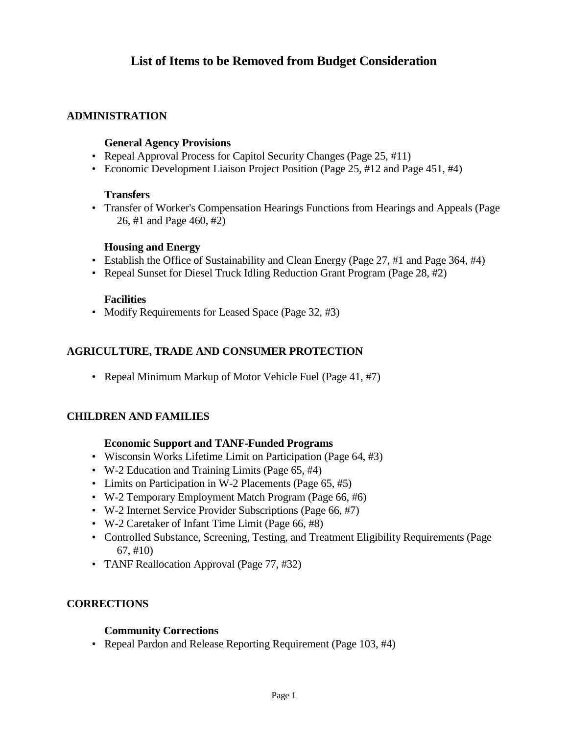# **List of Items to be Removed from Budget Consideration**

# **ADMINISTRATION**

### **General Agency Provisions**

- Repeal Approval Process for Capitol Security Changes (Page 25, #11)
- Economic Development Liaison Project Position (Page 25, #12 and Page 451, #4)

#### **Transfers**

• Transfer of Worker's Compensation Hearings Functions from Hearings and Appeals (Page 26, #1 and Page 460, #2)

#### **Housing and Energy**

- Establish the Office of Sustainability and Clean Energy (Page 27, #1 and Page 364, #4)
- Repeal Sunset for Diesel Truck Idling Reduction Grant Program (Page 28, #2)

#### **Facilities**

• Modify Requirements for Leased Space (Page 32, #3)

# **AGRICULTURE, TRADE AND CONSUMER PROTECTION**

• Repeal Minimum Markup of Motor Vehicle Fuel (Page 41, #7)

## **CHILDREN AND FAMILIES**

#### **Economic Support and TANF-Funded Programs**

- Wisconsin Works Lifetime Limit on Participation (Page 64, #3)
- W-2 Education and Training Limits (Page 65, #4)
- Limits on Participation in W-2 Placements (Page 65, #5)
- W-2 Temporary Employment Match Program (Page 66, #6)
- W-2 Internet Service Provider Subscriptions (Page 66, #7)
- W-2 Caretaker of Infant Time Limit (Page 66, #8)
- Controlled Substance, Screening, Testing, and Treatment Eligibility Requirements (Page 67, #10)
- TANF Reallocation Approval (Page 77, #32)

## **CORRECTIONS**

#### **Community Corrections**

• Repeal Pardon and Release Reporting Requirement (Page 103, #4)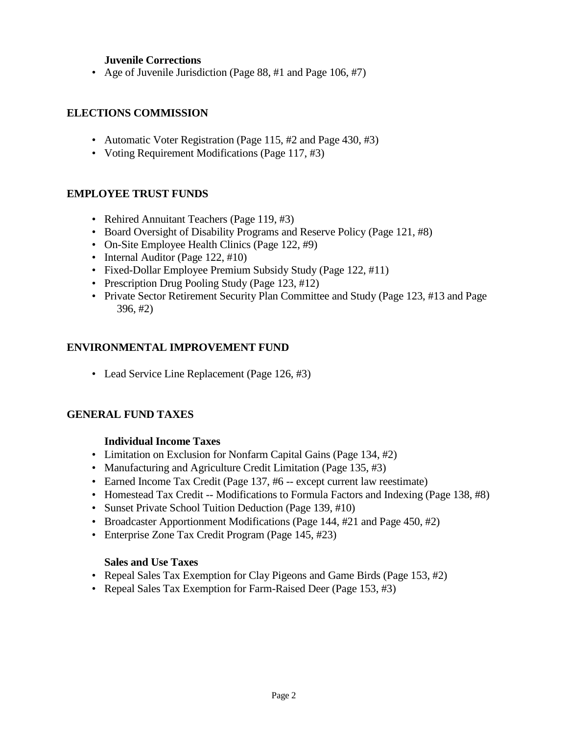# **Juvenile Corrections**

• Age of Juvenile Jurisdiction (Page 88, #1 and Page 106, #7)

# **ELECTIONS COMMISSION**

- Automatic Voter Registration (Page 115, #2 and Page 430, #3)
- Voting Requirement Modifications (Page 117, #3)

# **EMPLOYEE TRUST FUNDS**

- Rehired Annuitant Teachers (Page 119, #3)
- Board Oversight of Disability Programs and Reserve Policy (Page 121, #8)
- On-Site Employee Health Clinics (Page 122, #9)
- Internal Auditor (Page 122, #10)
- Fixed-Dollar Employee Premium Subsidy Study (Page 122, #11)
- Prescription Drug Pooling Study (Page 123, #12)
- Private Sector Retirement Security Plan Committee and Study (Page 123, #13 and Page 396, #2)

# **ENVIRONMENTAL IMPROVEMENT FUND**

• Lead Service Line Replacement (Page 126, #3)

## **GENERAL FUND TAXES**

## **Individual Income Taxes**

- Limitation on Exclusion for Nonfarm Capital Gains (Page 134, #2)
- Manufacturing and Agriculture Credit Limitation (Page 135, #3)
- Earned Income Tax Credit (Page 137, #6 -- except current law reestimate)
- Homestead Tax Credit -- Modifications to Formula Factors and Indexing (Page 138, #8)
- Sunset Private School Tuition Deduction (Page 139, #10)
- Broadcaster Apportionment Modifications (Page 144, #21 and Page 450, #2)
- Enterprise Zone Tax Credit Program (Page 145, #23)

## **Sales and Use Taxes**

- Repeal Sales Tax Exemption for Clay Pigeons and Game Birds (Page 153, #2)
- Repeal Sales Tax Exemption for Farm-Raised Deer (Page 153, #3)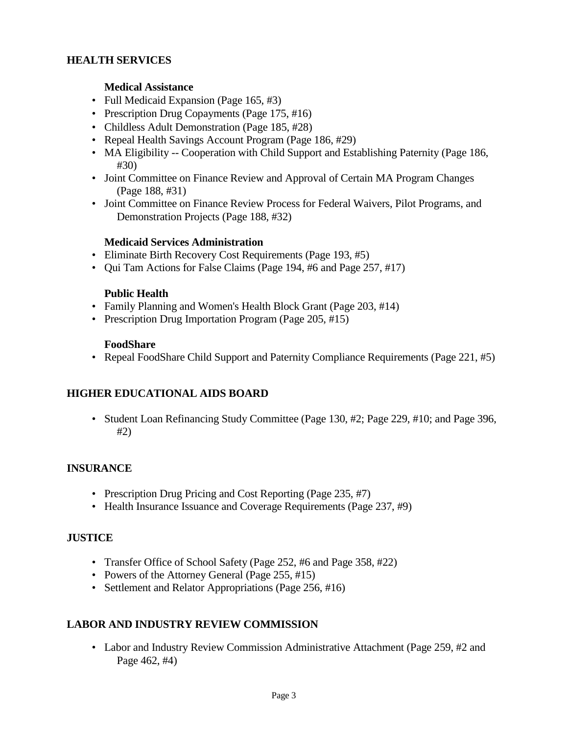# **HEALTH SERVICES**

# **Medical Assistance**

- Full Medicaid Expansion (Page 165, #3)
- Prescription Drug Copayments (Page 175, #16)
- Childless Adult Demonstration (Page 185, #28)
- Repeal Health Savings Account Program (Page 186, #29)
- MA Eligibility -- Cooperation with Child Support and Establishing Paternity (Page 186, #30)
- Joint Committee on Finance Review and Approval of Certain MA Program Changes (Page 188, #31)
- Joint Committee on Finance Review Process for Federal Waivers, Pilot Programs, and Demonstration Projects (Page 188, #32)

## **Medicaid Services Administration**

- Eliminate Birth Recovery Cost Requirements (Page 193, #5)
- Qui Tam Actions for False Claims (Page 194, #6 and Page 257, #17)

## **Public Health**

- Family Planning and Women's Health Block Grant (Page 203, #14)
- Prescription Drug Importation Program (Page 205, #15)

#### **FoodShare**

• Repeal FoodShare Child Support and Paternity Compliance Requirements (Page 221, #5)

# **HIGHER EDUCATIONAL AIDS BOARD**

• Student Loan Refinancing Study Committee (Page 130, #2; Page 229, #10; and Page 396, #2)

## **INSURANCE**

- Prescription Drug Pricing and Cost Reporting (Page 235, #7)
- Health Insurance Issuance and Coverage Requirements (Page 237, #9)

## **JUSTICE**

- Transfer Office of School Safety (Page 252, #6 and Page 358, #22)
- Powers of the Attorney General (Page 255, #15)
- Settlement and Relator Appropriations (Page 256, #16)

# **LABOR AND INDUSTRY REVIEW COMMISSION**

• Labor and Industry Review Commission Administrative Attachment (Page 259, #2 and Page 462, #4)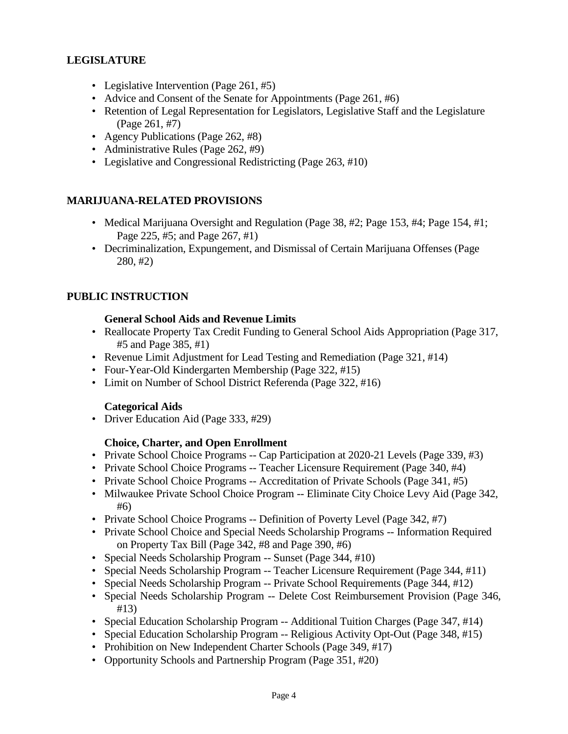# **LEGISLATURE**

- Legislative Intervention (Page 261, #5)
- Advice and Consent of the Senate for Appointments (Page 261, #6)
- Retention of Legal Representation for Legislators, Legislative Staff and the Legislature (Page 261, #7)
- Agency Publications (Page 262, #8)
- Administrative Rules (Page 262, #9)
- Legislative and Congressional Redistricting (Page 263, #10)

# **MARIJUANA-RELATED PROVISIONS**

- Medical Marijuana Oversight and Regulation (Page 38, #2; Page 153, #4; Page 154, #1; Page 225, #5; and Page 267, #1)
- Decriminalization, Expungement, and Dismissal of Certain Marijuana Offenses (Page 280, #2)

# **PUBLIC INSTRUCTION**

## **General School Aids and Revenue Limits**

- Reallocate Property Tax Credit Funding to General School Aids Appropriation (Page 317, #5 and Page 385, #1)
- Revenue Limit Adjustment for Lead Testing and Remediation (Page 321, #14)
- Four-Year-Old Kindergarten Membership (Page 322, #15)
- Limit on Number of School District Referenda (Page 322, #16)

## **Categorical Aids**

• Driver Education Aid (Page 333, #29)

## **Choice, Charter, and Open Enrollment**

- Private School Choice Programs -- Cap Participation at 2020-21 Levels (Page 339, #3)
- Private School Choice Programs -- Teacher Licensure Requirement (Page 340, #4)
- Private School Choice Programs -- Accreditation of Private Schools (Page 341, #5)
- Milwaukee Private School Choice Program -- Eliminate City Choice Levy Aid (Page 342, #6)
- Private School Choice Programs -- Definition of Poverty Level (Page 342, #7)
- Private School Choice and Special Needs Scholarship Programs -- Information Required on Property Tax Bill (Page 342, #8 and Page 390, #6)
- Special Needs Scholarship Program -- Sunset (Page 344, #10)
- Special Needs Scholarship Program -- Teacher Licensure Requirement (Page 344, #11)
- Special Needs Scholarship Program -- Private School Requirements (Page 344, #12)
- Special Needs Scholarship Program -- Delete Cost Reimbursement Provision (Page 346, #13)
- Special Education Scholarship Program -- Additional Tuition Charges (Page 347, #14)
- Special Education Scholarship Program -- Religious Activity Opt-Out (Page 348, #15)
- Prohibition on New Independent Charter Schools (Page 349, #17)
- Opportunity Schools and Partnership Program (Page 351, #20)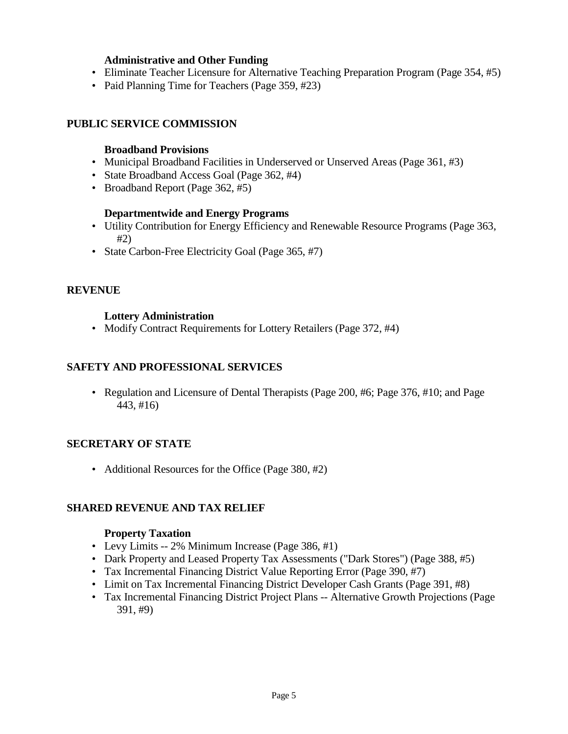# **Administrative and Other Funding**

- Eliminate Teacher Licensure for Alternative Teaching Preparation Program (Page 354, #5)
- Paid Planning Time for Teachers (Page 359, #23)

# **PUBLIC SERVICE COMMISSION**

# **Broadband Provisions**

- Municipal Broadband Facilities in Underserved or Unserved Areas (Page 361, #3)
- State Broadband Access Goal (Page 362, #4)
- Broadband Report (Page 362, #5)

## **Departmentwide and Energy Programs**

- Utility Contribution for Energy Efficiency and Renewable Resource Programs (Page 363, #2)
- State Carbon-Free Electricity Goal (Page 365, #7)

# **REVENUE**

# **Lottery Administration**

• Modify Contract Requirements for Lottery Retailers (Page 372, #4)

# **SAFETY AND PROFESSIONAL SERVICES**

• Regulation and Licensure of Dental Therapists (Page 200, #6; Page 376, #10; and Page 443, #16)

# **SECRETARY OF STATE**

• Additional Resources for the Office (Page 380, #2)

# **SHARED REVENUE AND TAX RELIEF**

## **Property Taxation**

- Levy Limits -- 2% Minimum Increase (Page 386, #1)
- Dark Property and Leased Property Tax Assessments ("Dark Stores") (Page 388, #5)
- Tax Incremental Financing District Value Reporting Error (Page 390, #7)
- Limit on Tax Incremental Financing District Developer Cash Grants (Page 391, #8)
- Tax Incremental Financing District Project Plans -- Alternative Growth Projections (Page 391, #9)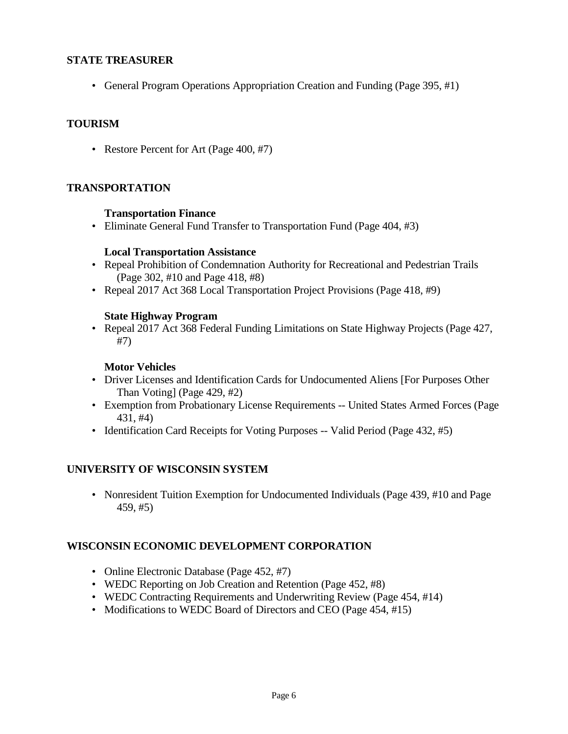# **STATE TREASURER**

• General Program Operations Appropriation Creation and Funding (Page 395, #1)

# **TOURISM**

• Restore Percent for Art (Page 400, #7)

# **TRANSPORTATION**

## **Transportation Finance**

• Eliminate General Fund Transfer to Transportation Fund (Page 404, #3)

## **Local Transportation Assistance**

- Repeal Prohibition of Condemnation Authority for Recreational and Pedestrian Trails (Page 302, #10 and Page 418, #8)
- Repeal 2017 Act 368 Local Transportation Project Provisions (Page 418, #9)

# **State Highway Program**

• Repeal 2017 Act 368 Federal Funding Limitations on State Highway Projects (Page 427, #7)

# **Motor Vehicles**

- Driver Licenses and Identification Cards for Undocumented Aliens [For Purposes Other Than Voting] (Page 429, #2)
- Exemption from Probationary License Requirements -- United States Armed Forces (Page 431, #4)
- Identification Card Receipts for Voting Purposes -- Valid Period (Page 432, #5)

# **UNIVERSITY OF WISCONSIN SYSTEM**

• Nonresident Tuition Exemption for Undocumented Individuals (Page 439, #10 and Page 459, #5)

# **WISCONSIN ECONOMIC DEVELOPMENT CORPORATION**

- Online Electronic Database (Page 452, #7)
- WEDC Reporting on Job Creation and Retention (Page 452, #8)
- WEDC Contracting Requirements and Underwriting Review (Page 454, #14)
- Modifications to WEDC Board of Directors and CEO (Page 454, #15)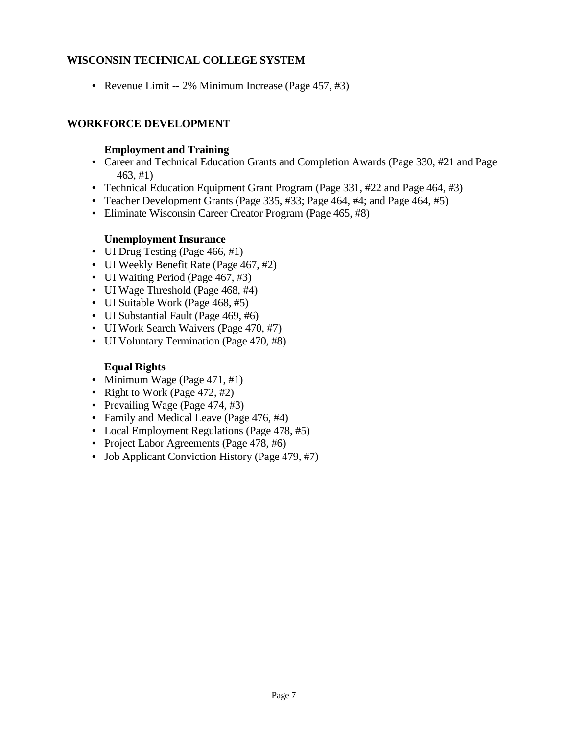# **WISCONSIN TECHNICAL COLLEGE SYSTEM**

• Revenue Limit -- 2% Minimum Increase (Page 457, #3)

# **WORKFORCE DEVELOPMENT**

# **Employment and Training**

- Career and Technical Education Grants and Completion Awards (Page 330, #21 and Page 463, #1)
- Technical Education Equipment Grant Program (Page 331, #22 and Page 464, #3)
- Teacher Development Grants (Page 335, #33; Page 464, #4; and Page 464, #5)
- Eliminate Wisconsin Career Creator Program (Page 465, #8)

# **Unemployment Insurance**

- UI Drug Testing (Page 466, #1)
- UI Weekly Benefit Rate (Page 467, #2)
- UI Waiting Period (Page 467, #3)
- UI Wage Threshold (Page 468, #4)
- UI Suitable Work (Page 468, #5)
- UI Substantial Fault (Page 469, #6)
- UI Work Search Waivers (Page 470, #7)
- UI Voluntary Termination (Page 470, #8)

# **Equal Rights**

- Minimum Wage (Page 471, #1)
- Right to Work (Page 472, #2)
- Prevailing Wage (Page 474, #3)
- Family and Medical Leave (Page 476, #4)
- Local Employment Regulations (Page 478, #5)
- Project Labor Agreements (Page 478, #6)
- Job Applicant Conviction History (Page 479, #7)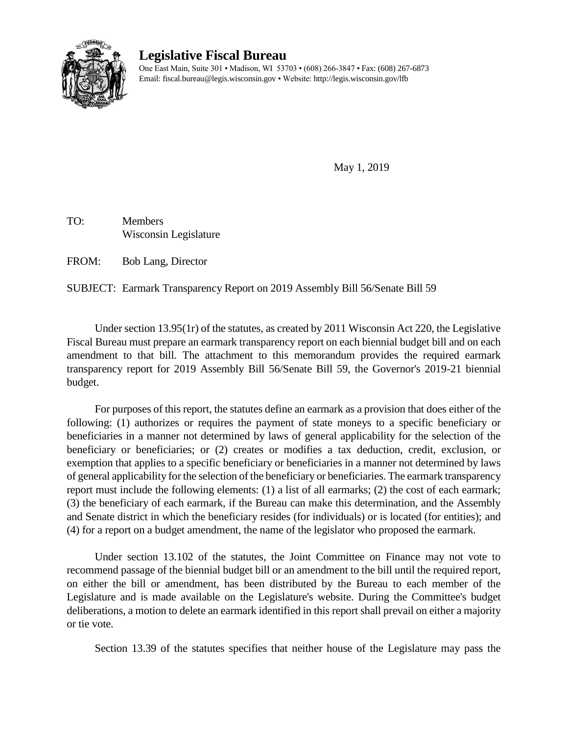

# **Legislative Fiscal Bureau**

One East Main, Suite 301 • Madison, WI 53703 • (608) 266-3847 • Fax: (608) 267-6873 Email: fiscal.bureau@legis.wisconsin.gov • Website[: http://legis.wisconsin.gov/lfb](http://legis.wisconsin.gov/lfb)

May 1, 2019

TO: Members Wisconsin Legislature

FROM: Bob Lang, Director

SUBJECT: Earmark Transparency Report on 2019 Assembly Bill 56/Senate Bill 59

Under section 13.95(1r) of the statutes, as created by 2011 Wisconsin Act 220, the Legislative Fiscal Bureau must prepare an earmark transparency report on each biennial budget bill and on each amendment to that bill. The attachment to this memorandum provides the required earmark transparency report for 2019 Assembly Bill 56/Senate Bill 59, the Governor's 2019-21 biennial budget.

For purposes of this report, the statutes define an earmark as a provision that does either of the following: (1) authorizes or requires the payment of state moneys to a specific beneficiary or beneficiaries in a manner not determined by laws of general applicability for the selection of the beneficiary or beneficiaries; or (2) creates or modifies a tax deduction, credit, exclusion, or exemption that applies to a specific beneficiary or beneficiaries in a manner not determined by laws of general applicability for the selection of the beneficiary or beneficiaries. The earmark transparency report must include the following elements: (1) a list of all earmarks; (2) the cost of each earmark; (3) the beneficiary of each earmark, if the Bureau can make this determination, and the Assembly and Senate district in which the beneficiary resides (for individuals) or is located (for entities); and (4) for a report on a budget amendment, the name of the legislator who proposed the earmark.

Under section 13.102 of the statutes, the Joint Committee on Finance may not vote to recommend passage of the biennial budget bill or an amendment to the bill until the required report, on either the bill or amendment, has been distributed by the Bureau to each member of the Legislature and is made available on the Legislature's website. During the Committee's budget deliberations, a motion to delete an earmark identified in this report shall prevail on either a majority or tie vote.

Section 13.39 of the statutes specifies that neither house of the Legislature may pass the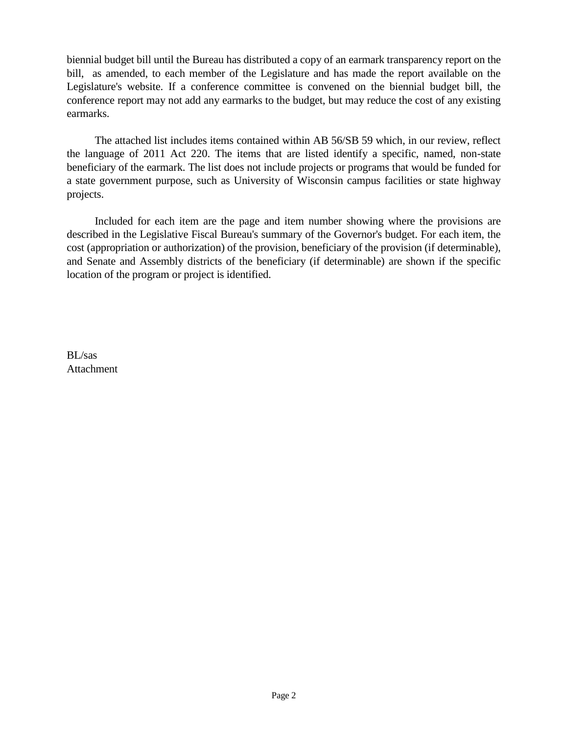biennial budget bill until the Bureau has distributed a copy of an earmark transparency report on the bill, as amended, to each member of the Legislature and has made the report available on the Legislature's website. If a conference committee is convened on the biennial budget bill, the conference report may not add any earmarks to the budget, but may reduce the cost of any existing earmarks.

The attached list includes items contained within AB 56/SB 59 which, in our review, reflect the language of 2011 Act 220. The items that are listed identify a specific, named, non-state beneficiary of the earmark. The list does not include projects or programs that would be funded for a state government purpose, such as University of Wisconsin campus facilities or state highway projects.

Included for each item are the page and item number showing where the provisions are described in the Legislative Fiscal Bureau's summary of the Governor's budget. For each item, the cost (appropriation or authorization) of the provision, beneficiary of the provision (if determinable), and Senate and Assembly districts of the beneficiary (if determinable) are shown if the specific location of the program or project is identified.

BL/sas Attachment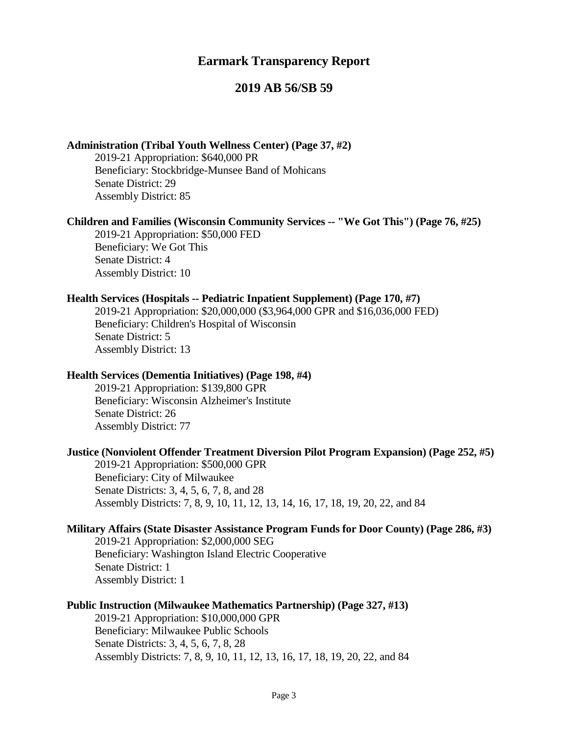# **Earmark Transparency Report**

# **2019 AB 56/SB 59**

## **Administration (Tribal Youth Wellness Center) (Page 37, #2)**

2019-21 Appropriation: \$640,000 PR Beneficiary: Stockbridge-Munsee Band of Mohicans Senate District: 29 Assembly District: 85

#### **Children and Families (Wisconsin Community Services -- "We Got This") (Page 76, #25)**

2019-21 Appropriation: \$50,000 FED Beneficiary: We Got This Senate District: 4 Assembly District: 10

#### **Health Services (Hospitals -- Pediatric Inpatient Supplement) (Page 170, #7)**

2019-21 Appropriation: \$20,000,000 (\$3,964,000 GPR and \$16,036,000 FED) Beneficiary: Children's Hospital of Wisconsin Senate District: 5 Assembly District: 13

#### **Health Services (Dementia Initiatives) (Page 198, #4)**

2019-21 Appropriation: \$139,800 GPR Beneficiary: Wisconsin Alzheimer's Institute Senate District: 26 Assembly District: 77

#### **Justice (Nonviolent Offender Treatment Diversion Pilot Program Expansion) (Page 252, #5)**

2019-21 Appropriation: \$500,000 GPR Beneficiary: City of Milwaukee Senate Districts: 3, 4, 5, 6, 7, 8, and 28 Assembly Districts: 7, 8, 9, 10, 11, 12, 13, 14, 16, 17, 18, 19, 20, 22, and 84

#### **Military Affairs (State Disaster Assistance Program Funds for Door County) (Page 286, #3)**

2019-21 Appropriation: \$2,000,000 SEG Beneficiary: Washington Island Electric Cooperative Senate District: 1 Assembly District: 1

#### **Public Instruction (Milwaukee Mathematics Partnership) (Page 327, #13)**

2019-21 Appropriation: \$10,000,000 GPR Beneficiary: Milwaukee Public Schools Senate Districts: 3, 4, 5, 6, 7, 8, 28 Assembly Districts: 7, 8, 9, 10, 11, 12, 13, 16, 17, 18, 19, 20, 22, and 84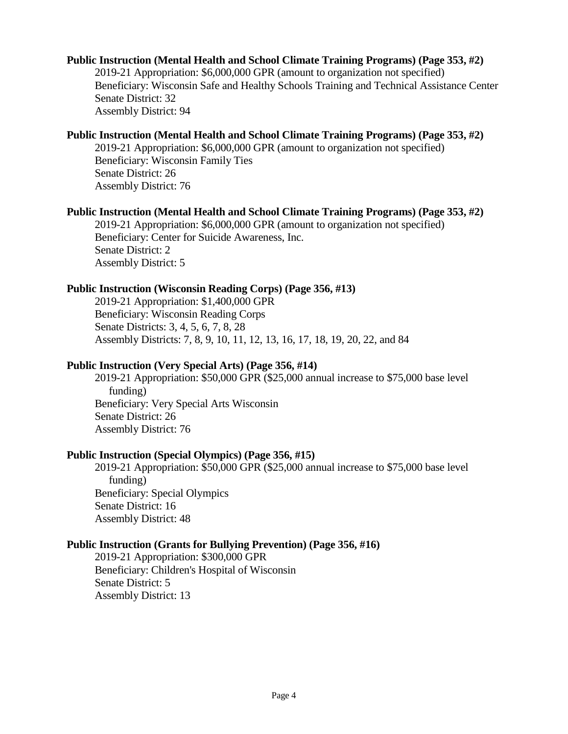#### **Public Instruction (Mental Health and School Climate Training Programs) (Page 353, #2)**

2019-21 Appropriation: \$6,000,000 GPR (amount to organization not specified) Beneficiary: Wisconsin Safe and Healthy Schools Training and Technical Assistance Center Senate District: 32 Assembly District: 94

#### **Public Instruction (Mental Health and School Climate Training Programs) (Page 353, #2)**

2019-21 Appropriation: \$6,000,000 GPR (amount to organization not specified) Beneficiary: Wisconsin Family Ties Senate District: 26

Assembly District: 76

#### **Public Instruction (Mental Health and School Climate Training Programs) (Page 353, #2)**

2019-21 Appropriation: \$6,000,000 GPR (amount to organization not specified) Beneficiary: Center for Suicide Awareness, Inc. Senate District: 2 Assembly District: 5

#### **Public Instruction (Wisconsin Reading Corps) (Page 356, #13)**

2019-21 Appropriation: \$1,400,000 GPR Beneficiary: Wisconsin Reading Corps Senate Districts: 3, 4, 5, 6, 7, 8, 28 Assembly Districts: 7, 8, 9, 10, 11, 12, 13, 16, 17, 18, 19, 20, 22, and 84

#### **Public Instruction (Very Special Arts) (Page 356, #14)**

2019-21 Appropriation: \$50,000 GPR (\$25,000 annual increase to \$75,000 base level funding) Beneficiary: Very Special Arts Wisconsin Senate District: 26 Assembly District: 76

# **Public Instruction (Special Olympics) (Page 356, #15)**

2019-21 Appropriation: \$50,000 GPR (\$25,000 annual increase to \$75,000 base level funding) Beneficiary: Special Olympics Senate District: 16 Assembly District: 48

#### **Public Instruction (Grants for Bullying Prevention) (Page 356, #16)**

2019-21 Appropriation: \$300,000 GPR Beneficiary: Children's Hospital of Wisconsin Senate District: 5 Assembly District: 13